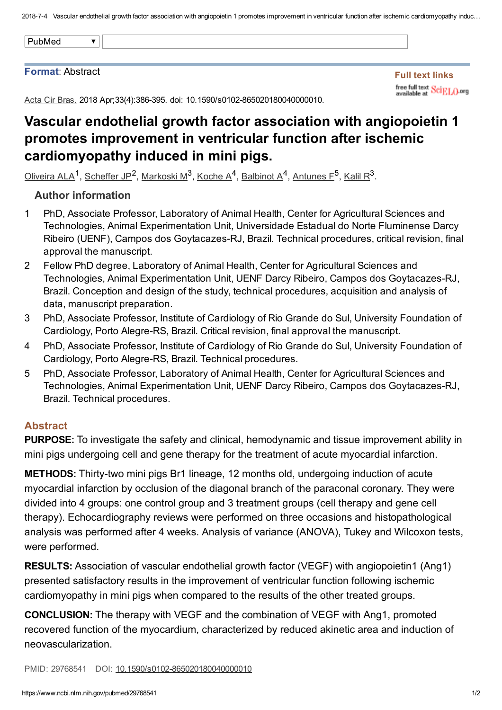2018-7-4 Vascular endothelial growth factor association with angiopoietin 1 promotes improvement in ventricular function after ischemic cardiomyopathy induc...

|--|

#### Format: Abstract

Full text links free full text SciELO.org

Acta Cir Bras. 2018 Apr; 33(4): 386-395. doi: 10.1590/s0102-865020180040000010.

# Vascular endothelial growth factor association with angiopoietin 1 promotes improvement in ventricular function after ischemic cardiomyopathy induced in mini pigs.

[Oliveira](https://www.ncbi.nlm.nih.gov/pubmed/?term=Oliveira%20ALA%5BAuthor%5D&cauthor=true&cauthor_uid=29768541) ALA<sup>1</sup>, [Scheffer](https://www.ncbi.nlm.nih.gov/pubmed/?term=Scheffer%20JP%5BAuthor%5D&cauthor=true&cauthor_uid=29768541) JP<sup>2</sup>, [Markoski](https://www.ncbi.nlm.nih.gov/pubmed/?term=Markoski%20M%5BAuthor%5D&cauthor=true&cauthor_uid=29768541) M<sup>3</sup>, [Koche](https://www.ncbi.nlm.nih.gov/pubmed/?term=Koche%20A%5BAuthor%5D&cauthor=true&cauthor_uid=29768541) A<sup>4</sup>, [Balbinot](https://www.ncbi.nlm.nih.gov/pubmed/?term=Balbinot%20A%5BAuthor%5D&cauthor=true&cauthor_uid=29768541) A<sup>4</sup>, [Antunes](https://www.ncbi.nlm.nih.gov/pubmed/?term=Antunes%20F%5BAuthor%5D&cauthor=true&cauthor_uid=29768541) F<sup>5</sup>, [Kalil](https://www.ncbi.nlm.nih.gov/pubmed/?term=Kalil%20R%5BAuthor%5D&cauthor=true&cauthor_uid=29768541) R<sup>3</sup>.

### Author information

- 1 PhD, Associate Professor, Laboratory of Animal Health, Center for Agricultural Sciences and Technologies, Animal Experimentation Unit, Universidade Estadual do Norte Fluminense Darcy Ribeiro (UENF), Campos dos Goytacazes-RJ, Brazil. Technical procedures, critical revision, final approval the manuscript.
- $\mathcal{P}$ Fellow PhD degree, Laboratory of Animal Health, Center for Agricultural Sciences and Technologies, Animal Experimentation Unit, UENF Darcy Ribeiro, Campos dos Goytacazes-RJ, Brazil. Conception and design of the study, technical procedures, acquisition and analysis of data, manuscript preparation.
- 3 PhD, Associate Professor, Institute of Cardiology of Rio Grande do Sul, University Foundation of Cardiology, Porto Alegre-RS, Brazil. Critical revision, final approval the manuscript.
- 4 PhD, Associate Professor, Institute of Cardiology of Rio Grande do Sul, University Foundation of Cardiology, Porto Alegre-RS, Brazil. Technical procedures.
- 5 PhD, Associate Professor, Laboratory of Animal Health, Center for Agricultural Sciences and Technologies, Animal Experimentation Unit, UENF Darcy Ribeiro, Campos dos Goytacazes-RJ, Brazil. Technical procedures.

## Abstract

PURPOSE: To investigate the safety and clinical, hemodynamic and tissue improvement ability in mini pigs undergoing cell and gene therapy for the treatment of acute myocardial infarction.

**METHODS:** Thirty-two mini pigs Br1 lineage, 12 months old, undergoing induction of acute myocardial infarction by occlusion of the diagonal branch of the paraconal coronary. They were divided into 4 groups: one control group and 3 treatment groups (cell therapy and gene cell therapy). Echocardiography reviews were performed on three occasions and histopathological analysis was performed after 4 weeks. Analysis of variance (ANOVA), Tukey and Wilcoxon tests, were performed.

RESULTS: Association of vascular endothelial growth factor (VEGF) with angiopoietin1 (Ang1) presented satisfactory results in the improvement of ventricular function following ischemic cardiomyopathy in mini pigs when compared to the results of the other treated groups.

**CONCLUSION:** The therapy with VEGF and the combination of VEGF with Ang1, promoted recovered function of the myocardium, characterized by reduced akinetic area and induction of neovascularization.

PMID: 29768541 DOI: 10.1590/s0102-865020180040000010